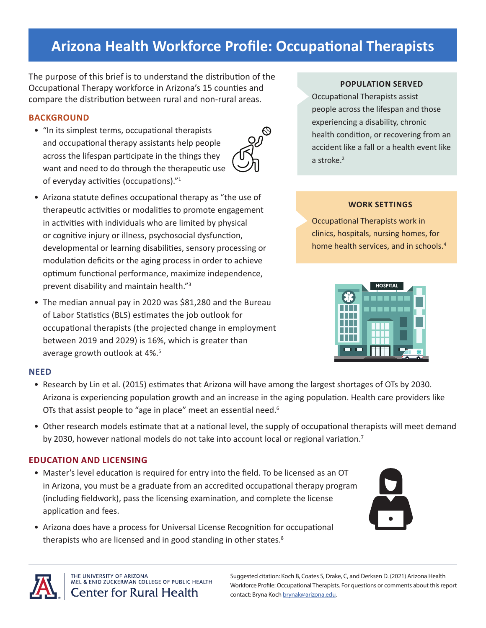# **Arizona Health Workforce Profile: Occupational Therapists**

 $\circledcirc$ သ္ဟ

The purpose of this brief is to understand the distribution of the Occupational Therapy workforce in Arizona's 15 counties and compare the distribution between rural and non-rural areas.

# **BACKGROUND**

- "In its simplest terms, occupational therapists and occupational therapy assistants help people across the lifespan participate in the things they want and need to do through the therapeutic use of everyday activities (occupations)."<sup>1</sup>
- Arizona statute defines occupational therapy as "the use of therapeutic activities or modalities to promote engagement in activities with individuals who are limited by physical or cognitive injury or illness, psychosocial dysfunction, developmental or learning disabilities, sensory processing or modulation deficits or the aging process in order to achieve optimum functional performance, maximize independence, prevent disability and maintain health."<sup>3</sup>
- The median annual pay in 2020 was \$81,280 and the Bureau of Labor Statistics (BLS) estimates the job outlook for occupational therapists (the projected change in employment between 2019 and 2029) is 16%, which is greater than average growth outlook at 4%.<sup>5</sup>

# **NEED**

- Research by Lin et al. (2015) estimates that Arizona will have among the largest shortages of OTs by 2030. Arizona is experiencing population growth and an increase in the aging population. Health care providers like OTs that assist people to "age in place" meet an essential need.<sup>6</sup>
- Other research models estimate that at a national level, the supply of occupational therapists will meet demand by 2030, however national models do not take into account local or regional variation.<sup>7</sup>

# **EDUCATION AND LICENSING**

- Master's level education is required for entry into the field. To be licensed as an OT in Arizona, you must be a graduate from an accredited occupational therapy program (including fieldwork), pass the licensing examination, and complete the license application and fees.
- Arizona does have a process for Universal License Recognition for occupational therapists who are licensed and in good standing in other states.<sup>8</sup>

## **POPULATION SERVED**

Occupational Therapists assist people across the lifespan and those experiencing a disability, chronic health condition, or recovering from an accident like a fall or a health event like a stroke.<sup>2</sup>

## **WORK SETTINGS**

Occupational Therapists work in clinics, hospitals, nursing homes, for home health services, and in schools.4







THE UNIVERSITY OF ARIZONA MEL & ENID ZUCKERMAN COLLEGE OF PUBLIC HEALTH **Center for Rural Health** 

Suggested citation: Koch B, Coates S, Drake, C, and Derksen D. (2021) Arizona Health Workforce Profile: Occupational Therapists. For questions or comments about this report contact: Bryna Koch [brynak@arizona.edu](mailto:brynak@arizona.edu).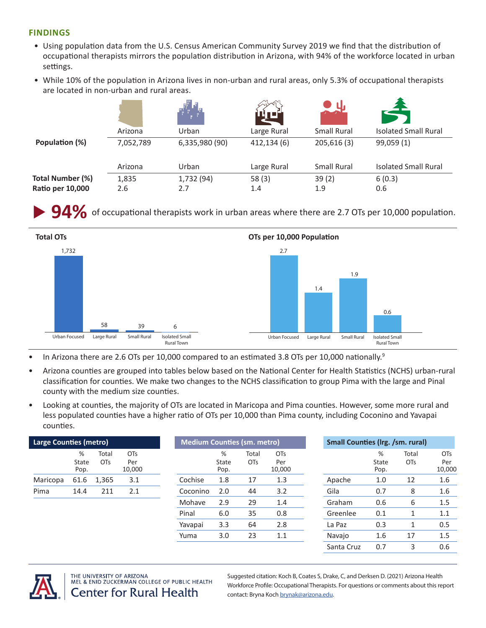### **FINDINGS**

- Using population data from the U.S. Census American Community Survey 2019 we find that the distribution of occupational therapists mirrors the population distribution in Arizona, with 94% of the workforce located in urban settings.
- While 10% of the population in Arizona lives in non-urban and rural areas, only 5.3% of occupational therapists are located in non-urban and rural areas.

|                         | Arizona   | Urban          | Large Rural | <b>Small Rural</b> | <b>Isolated Small Rural</b> |
|-------------------------|-----------|----------------|-------------|--------------------|-----------------------------|
| Population (%)          | 7,052,789 | 6,335,980 (90) | 412,134 (6) | 205,616(3)         | 99,059 (1)                  |
|                         | Arizona   | Urban          | Large Rural | <b>Small Rural</b> | <b>Isolated Small Rural</b> |
| <b>Total Number (%)</b> | 1,835     | 1,732 (94)     | 58(3)       | 39(2)              | 6(0.3)                      |
| Ratio per 10,000        | 2.6       | 2.7            | 1.4         | 1.9                | 0.6                         |

**94%** of occupational therapists work in urban areas where there are 2.7 OTs per 10,000 population.



- In Arizona there are 2.6 OTs per 10,000 compared to an estimated 3.8 OTs per 10,000 nationally.<sup>9</sup>
- Arizona counties are grouped into tables below based on the National Center for Health Statistics (NCHS) urban-rural classification for counties. We make two changes to the NCHS classification to group Pima with the large and Pinal county with the medium size counties.
- Looking at counties, the majority of OTs are located in Maricopa and Pima counties. However, some more rural and less populated counties have a higher ratio of OTs per 10,000 than Pima county, including Coconino and Yavapai counties.

| <b>Large Counties (metro)</b> |                    |                          |                                  | <b>Medium Counties (sm. metro)</b> |     |                           |                     | <b>Small Counties (Irg. /sm. rural)</b> |            |                    |                          |                             |
|-------------------------------|--------------------|--------------------------|----------------------------------|------------------------------------|-----|---------------------------|---------------------|-----------------------------------------|------------|--------------------|--------------------------|-----------------------------|
|                               | %<br>State<br>Pop. | Total<br>OT <sub>S</sub> | OT <sub>S</sub><br>Per<br>10,000 |                                    |     | %<br><b>State</b><br>Pop. | Total<br><b>OTs</b> | <b>OTs</b><br>Per<br>10,000             |            | %<br>State<br>Pop. | Total<br>O <sub>Ts</sub> | <b>OTs</b><br>Per<br>10,000 |
| Maricopa                      | 61.6               | 1,365                    | 3.1                              | Cochise                            |     | 1.8                       | 17                  | 1.3                                     | Apache     | 1.0                | 12                       | 1.6                         |
| Pima                          | 14.4               | 211                      | 2.1                              | Coconino                           |     | 2.0                       | 44                  | 3.2                                     | Gila       | 0.7                | 8                        | 1.6                         |
|                               |                    |                          |                                  | Mohave                             |     | 2.9                       | 29                  | 1.4                                     | Graham     | 0.6                | 6                        | 1.5                         |
|                               |                    |                          | Pinal                            |                                    | 6.0 | 35                        | 0.8                 | Greenlee                                | 0.1        |                    | 1.1                      |                             |
|                               |                    |                          |                                  | Yavapai                            |     | 3.3                       | 64                  | 2.8                                     | La Paz     | 0.3                |                          | 0.5                         |
|                               |                    |                          |                                  | Yuma                               |     | 3.0                       | 23                  | 1.1                                     | Navajo     | 1.6                | 17                       | 1.5                         |
|                               |                    |                          |                                  |                                    |     |                           |                     |                                         | Santa Cruz | 0.7                | 3                        | 0.6                         |



THE UNIVERSITY OF ARIZONA MEL & ENID ZUCKERMAN COLLEGE OF PUBLIC HEALTH **Center for Rural Health** 

Suggested citation: Koch B, Coates S, Drake, C, and Derksen D. (2021) Arizona Health Workforce Profile: Occupational Therapists. For questions or comments about this report contact: Bryna Koch [brynak@arizona.edu](mailto:brynak@arizona.edu).